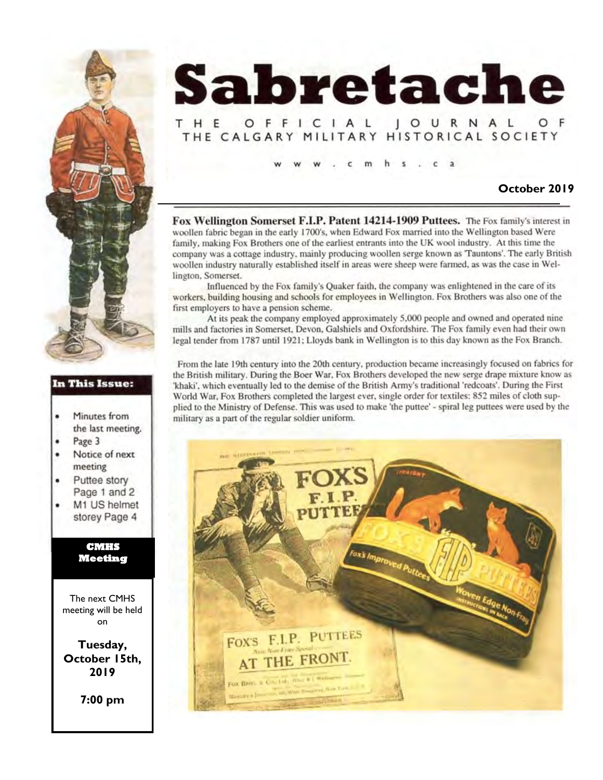

## THE OFFICIAL JOURNAL THE CALGARY MILITARY HISTORICAL SOCIETY

 $\cdot$   $\cdot$   $\cdot$   $\cdot$   $\cdot$   $\cdot$ 

#### **October 2019**

Fox Wellington Somerset F.I.P. Patent 14214-1909 Puttees. The Fox family's interest in woollen fabric began in the early 1700's, when Edward Fox married into the Wellington based Were family, making Fox Brothers one of the earliest entrants into the UK wool industry. At this time the company was a cottage industry, mainly producing woollen serge known as 'Tauntons'. The early British woollen industry naturally established itself in areas were sheep were farmed, as was the case in Wellington, Somerset.

Influenced by the Fox family's Quaker faith, the company was enlightened in the care of its workers, building housing and schools for employees in Wellington. Fox Brothers was also one of the first employers to have a pension scheme.

At its peak the company employed approximately 5,000 people and owned and operated nine mills and factories in Somerset, Devon, Galshiels and Oxfordshire. The Fox family even had their own legal tender from 1787 until 1921; Lloyds bank in Wellington is to this day known as the Fox Branch.

From the late 19th century into the 20th century, production became increasingly focused on fabrics for the British military. During the Boer War, Fox Brothers developed the new serge drape mixture know as 'khaki', which eventually led to the demise of the British Army's traditional 'redcoats'. During the First World War, Fox Brothers completed the largest ever, single order for textiles: 852 miles of cloth supplied to the Ministry of Defense. This was used to make 'the puttee' - spiral leg puttees were used by the military as a part of the regular soldier uniform.





### In This Issue:

- Minutes from  $\bullet$ the last meeting.
- Page 3
- $\bullet$ Notice of next meeting
- Puttee story Page 1 and 2
- M1 US helmet storey Page 4

**CMHS Meeting** 

The next CMHS meeting will be held on

**Tuesday, October 15th, 2019**

**7:00 pm**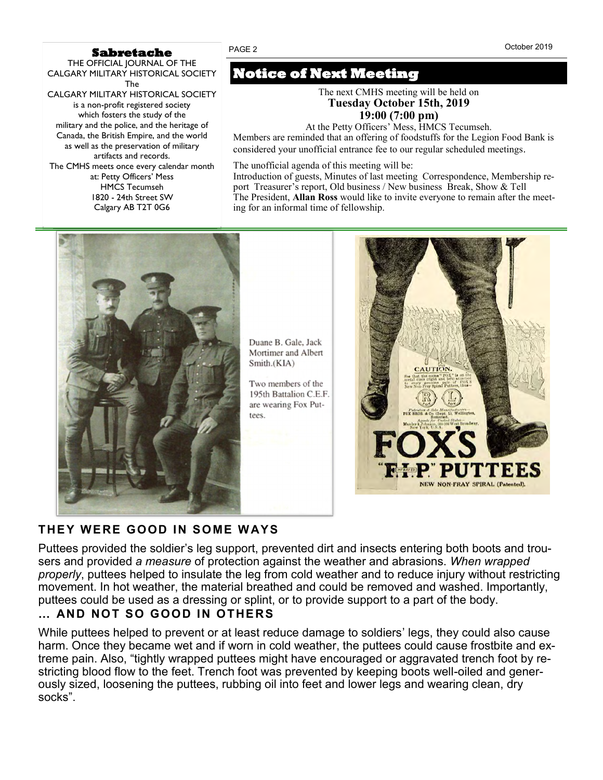#### **Sabretache**

THE OFFICIAL JOURNAL OF THE CALGARY MILITARY HISTORICAL SOCIETY The CALGARY MILITARY HISTORICAL SOCIETY is a non-profit registered society which fosters the study of the military and the police, and the heritage of Canada, the British Empire, and the world as well as the preservation of military artifacts and records. The CMHS meets once every calendar month at: Petty Officers' Mess HMCS Tecumseh 1820 - 24th Street SW Calgary AB T2T 0G6

# **Notice of Next Meeting**

The next CMHS meeting will be held on **Tuesday October 15th, 2019 19:00 (7:00 pm)**

At the Petty Officers' Mess, HMCS Tecumseh. Members are reminded that an offering of foodstuffs for the Legion Food Bank is considered your unofficial entrance fee to our regular scheduled meetings*.*

The unofficial agenda of this meeting will be:

Introduction of guests, Minutes of last meeting Correspondence, Membership report Treasurer's report, Old business / New business Break, Show & Tell The President, **Allan Ross** would like to invite everyone to remain after the meeting for an informal time of fellowship.



# **THEY WERE GOOD IN SOME W AYS**

Puttees provided the soldier's leg support, prevented dirt and insects entering both boots and trousers and provided *a measure* of protection against the weather and abrasions. *When wrapped properly*, puttees helped to insulate the leg from cold weather and to reduce injury without restricting movement. In hot weather, the material breathed and could be removed and washed. Importantly, puttees could be used as a dressing or splint, or to provide support to a part of the body.

# **… AND NOT SO GOOD IN OTHERS**

While puttees helped to prevent or at least reduce damage to soldiers' legs, they could also cause harm. Once they became wet and if worn in cold weather, the puttees could cause frostbite and extreme pain. Also, "tightly wrapped puttees might have encouraged or aggravated trench foot by restricting blood flow to the feet. Trench foot was prevented by keeping boots well-oiled and generously sized, loosening the puttees, rubbing oil into feet and lower legs and wearing clean, dry socks".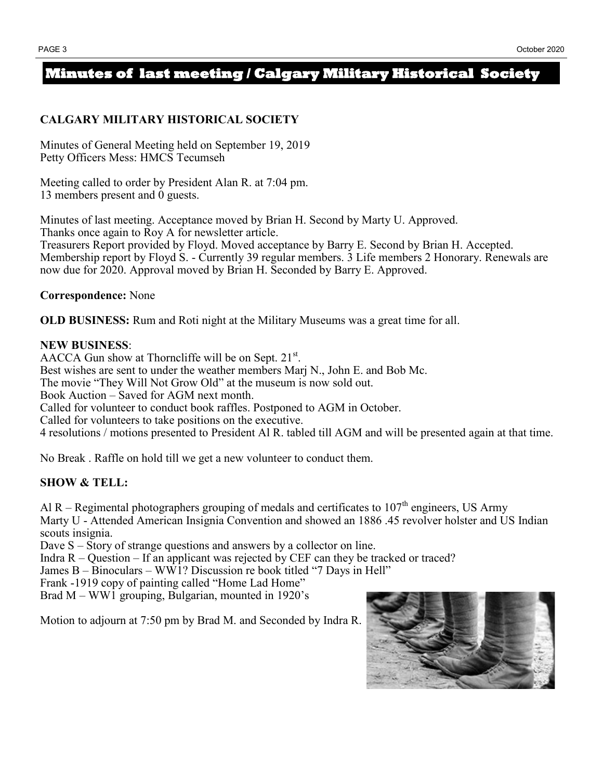# **Minutes of last meeting / Calgary Military Historical Society**

## **CALGARY MILITARY HISTORICAL SOCIETY**

Minutes of General Meeting held on September 19, 2019 Petty Officers Mess: HMCS Tecumseh

Meeting called to order by President Alan R. at 7:04 pm. 13 members present and 0 guests.

Minutes of last meeting. Acceptance moved by Brian H. Second by Marty U. Approved. Thanks once again to Roy A for newsletter article. Treasurers Report provided by Floyd. Moved acceptance by Barry E. Second by Brian H. Accepted.

Membership report by Floyd S. - Currently 39 regular members. 3 Life members 2 Honorary. Renewals are now due for 2020. Approval moved by Brian H. Seconded by Barry E. Approved.

**Correspondence:** None

**OLD BUSINESS:** Rum and Roti night at the Military Museums was a great time for all.

### **NEW BUSINESS**:

AACCA Gun show at Thorncliffe will be on Sept.  $21^{st}$ . Best wishes are sent to under the weather members Marj N., John E. and Bob Mc. The movie "They Will Not Grow Old" at the museum is now sold out. Book Auction – Saved for AGM next month. Called for volunteer to conduct book raffles. Postponed to AGM in October. Called for volunteers to take positions on the executive. 4 resolutions / motions presented to President Al R. tabled till AGM and will be presented again at that time.

No Break . Raffle on hold till we get a new volunteer to conduct them.

# **SHOW & TELL:**

Al R – Regimental photographers grouping of medals and certificates to  $107<sup>th</sup>$  engineers, US Army Marty U - Attended American Insignia Convention and showed an 1886 .45 revolver holster and US Indian scouts insignia.

Dave S – Story of strange questions and answers by a collector on line.

Indra  $R -$ Question – If an applicant was rejected by CEF can they be tracked or traced?

James B – Binoculars – WW1? Discussion re book titled "7 Days in Hell"

Frank -1919 copy of painting called "Home Lad Home"

Brad M – WW1 grouping, Bulgarian, mounted in 1920's

Motion to adjourn at 7:50 pm by Brad M. and Seconded by Indra R.